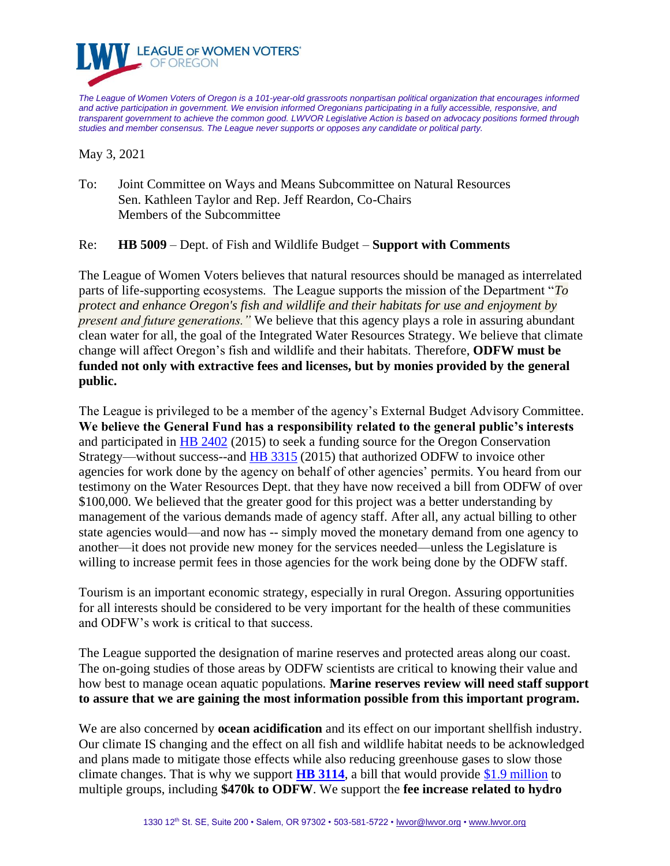

*The League of Women Voters of Oregon is a 101-year-old grassroots nonpartisan political organization that encourages informed and active participation in government. We envision informed Oregonians participating in a fully accessible, responsive, and transparent government to achieve the common good. LWVOR Legislative Action is based on advocacy positions formed through studies and member consensus. The League never supports or opposes any candidate or political party.*

May 3, 2021

To: Joint Committee on Ways and Means Subcommittee on Natural Resources Sen. Kathleen Taylor and Rep. Jeff Reardon, Co-Chairs Members of the Subcommittee

## Re: **HB 5009** – Dept. of Fish and Wildlife Budget – **Support with Comments**

The League of Women Voters believes that natural resources should be managed as interrelated parts of life-supporting ecosystems. The League supports the mission of the Department "*To protect and enhance Oregon's fish and wildlife and their habitats for use and enjoyment by present and future generations."* We believe that this agency plays a role in assuring abundant clean water for all, the goal of the Integrated Water Resources Strategy. We believe that climate change will affect Oregon's fish and wildlife and their habitats. Therefore, **ODFW must be funded not only with extractive fees and licenses, but by monies provided by the general public.**

The League is privileged to be a member of the agency's External Budget Advisory Committee. **We believe the General Fund has a responsibility related to the general public's interests** and participated in [HB 2402](https://olis.oregonlegislature.gov/liz/2015R1/Downloads/MeasureDocument/HB2402/Enrolled) (2015) to seek a funding source for the Oregon Conservation Strategy—without success--and [HB 3315](https://olis.oregonlegislature.gov/liz/2015R1/Downloads/MeasureDocument/HB3315/Enrolled) (2015) that authorized ODFW to invoice other agencies for work done by the agency on behalf of other agencies' permits. You heard from our testimony on the Water Resources Dept. that they have now received a bill from ODFW of over \$100,000. We believed that the greater good for this project was a better understanding by management of the various demands made of agency staff. After all, any actual billing to other state agencies would—and now has -- simply moved the monetary demand from one agency to another—it does not provide new money for the services needed—unless the Legislature is willing to increase permit fees in those agencies for the work being done by the ODFW staff.

Tourism is an important economic strategy, especially in rural Oregon. Assuring opportunities for all interests should be considered to be very important for the health of these communities and ODFW's work is critical to that success.

The League supported the designation of marine reserves and protected areas along our coast. The on-going studies of those areas by ODFW scientists are critical to knowing their value and how best to manage ocean aquatic populations. **Marine reserves review will need staff support to assure that we are gaining the most information possible from this important program.**

We are also concerned by **ocean acidification** and its effect on our important shellfish industry. Our climate IS changing and the effect on all fish and wildlife habitat needs to be acknowledged and plans made to mitigate those effects while also reducing greenhouse gases to slow those climate changes. That is why we support **[HB 3114](https://olis.oregonlegislature.gov/liz/2021R1/Downloads/MeasureDocument/HB3114/Introduced)**, a bill that would provide [\\$1.9 million](https://olis.oregonlegislature.gov/liz/2021R1/Downloads/MeasureAnalysisDocument/59286) to multiple groups, including **\$470k to ODFW**. We support the **fee increase related to hydro**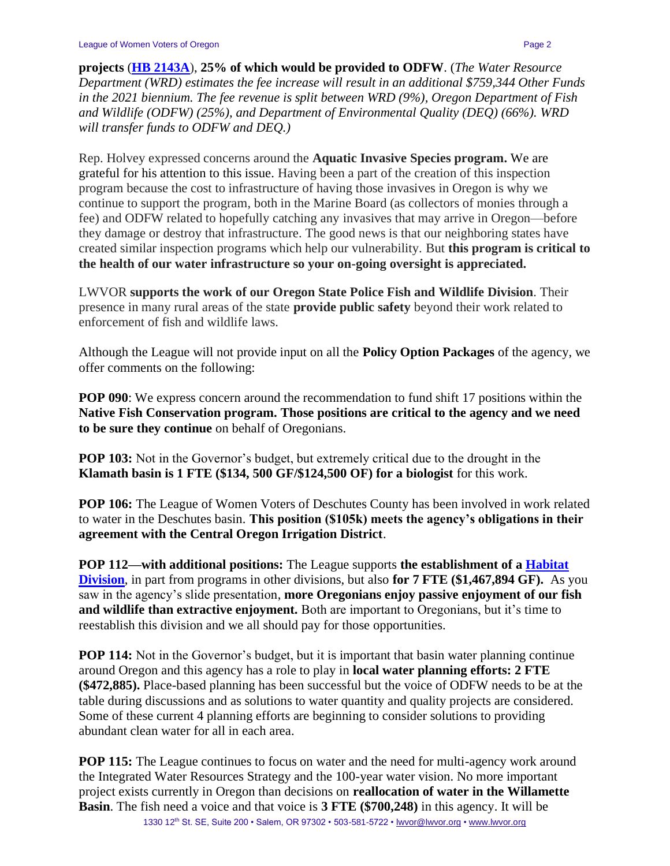**projects** (**[HB 2143A](https://olis.oregonlegislature.gov/liz/2021R1/Downloads/MeasureDocument/HB2143/A-Engrossed)**), **25% of which would be provided to ODFW**. (*The Water Resource Department (WRD) estimates the fee increase will result in an additional \$759,344 Other Funds in the 2021 biennium. The fee revenue is split between WRD (9%), Oregon Department of Fish and Wildlife (ODFW) (25%), and Department of Environmental Quality (DEQ) (66%). WRD will transfer funds to ODFW and DEQ.)*

Rep. Holvey expressed concerns around the **Aquatic Invasive Species program.** We are grateful for his attention to this issue. Having been a part of the creation of this inspection program because the cost to infrastructure of having those invasives in Oregon is why we continue to support the program, both in the Marine Board (as collectors of monies through a fee) and ODFW related to hopefully catching any invasives that may arrive in Oregon—before they damage or destroy that infrastructure. The good news is that our neighboring states have created similar inspection programs which help our vulnerability. But **this program is critical to the health of our water infrastructure so your on-going oversight is appreciated.**

LWVOR **supports the work of our Oregon State Police Fish and Wildlife Division**. Their presence in many rural areas of the state **provide public safety** beyond their work related to enforcement of fish and wildlife laws.

Although the League will not provide input on all the **Policy Option Packages** of the agency, we offer comments on the following:

**POP 090**: We express concern around the recommendation to fund shift 17 positions within the **Native Fish Conservation program. Those positions are critical to the agency and we need to be sure they continue** on behalf of Oregonians.

**POP 103:** Not in the Governor's budget, but extremely critical due to the drought in the **Klamath basin is 1 FTE (\$134, 500 GF/\$124,500 OF) for a biologist** for this work.

**POP 106:** The League of Women Voters of Deschutes County has been involved in work related to water in the Deschutes basin. **This position (\$105k) meets the agency's obligations in their agreement with the Central Oregon Irrigation District**.

**POP 112—with additional positions:** The League supports **the establishment of a [Habitat](https://www.dfw.state.or.us/agency/budget/docs/21-23_GRB/K.%20Proposed%20Habitat%20Division.pdf)  [Division](https://www.dfw.state.or.us/agency/budget/docs/21-23_GRB/K.%20Proposed%20Habitat%20Division.pdf)**, in part from programs in other divisions, but also **for 7 FTE (\$1,467,894 GF).** As you saw in the agency's slide presentation, **more Oregonians enjoy passive enjoyment of our fish and wildlife than extractive enjoyment.** Both are important to Oregonians, but it's time to reestablish this division and we all should pay for those opportunities.

**POP 114:** Not in the Governor's budget, but it is important that basin water planning continue around Oregon and this agency has a role to play in **local water planning efforts: 2 FTE (\$472,885).** Place-based planning has been successful but the voice of ODFW needs to be at the table during discussions and as solutions to water quantity and quality projects are considered. Some of these current 4 planning efforts are beginning to consider solutions to providing abundant clean water for all in each area.

**POP 115:** The League continues to focus on water and the need for multi-agency work around the Integrated Water Resources Strategy and the 100-year water vision. No more important project exists currently in Oregon than decisions on **reallocation of water in the Willamette Basin**. The fish need a voice and that voice is **3 FTE (\$700,248)** in this agency. It will be